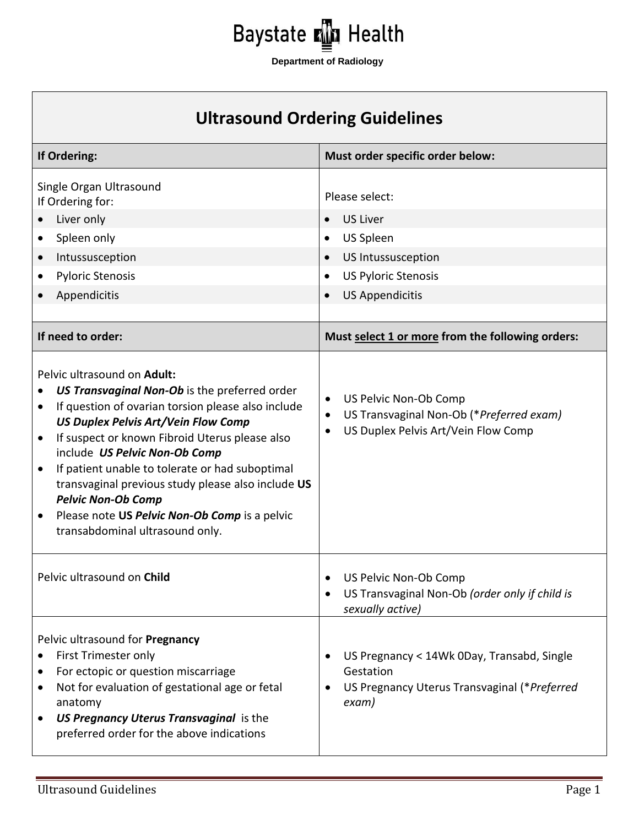

## **Ultrasound Ordering Guidelines**

| If Ordering:                                                                                                                                                                                                                                                                                                                                                                                                                                                                                                                 | Must order specific order below:                                                                                                                                                                                                                                |
|------------------------------------------------------------------------------------------------------------------------------------------------------------------------------------------------------------------------------------------------------------------------------------------------------------------------------------------------------------------------------------------------------------------------------------------------------------------------------------------------------------------------------|-----------------------------------------------------------------------------------------------------------------------------------------------------------------------------------------------------------------------------------------------------------------|
| Single Organ Ultrasound<br>If Ordering for:<br>Liver only<br>Spleen only<br>$\bullet$<br>Intussusception<br>$\bullet$<br><b>Pyloric Stenosis</b><br>Appendicitis<br>If need to order:                                                                                                                                                                                                                                                                                                                                        | Please select:<br><b>US Liver</b><br>$\bullet$<br><b>US Spleen</b><br>$\bullet$<br><b>US Intussusception</b><br>$\bullet$<br><b>US Pyloric Stenosis</b><br>$\bullet$<br><b>US Appendicitis</b><br>$\bullet$<br>Must select 1 or more from the following orders: |
| Pelvic ultrasound on Adult:<br>US Transvaginal Non-Ob is the preferred order<br>If question of ovarian torsion please also include<br>٠<br><b>US Duplex Pelvis Art/Vein Flow Comp</b><br>If suspect or known Fibroid Uterus please also<br>$\bullet$<br>include US Pelvic Non-Ob Comp<br>If patient unable to tolerate or had suboptimal<br>$\bullet$<br>transvaginal previous study please also include US<br><b>Pelvic Non-Ob Comp</b><br>Please note US Pelvic Non-Ob Comp is a pelvic<br>transabdominal ultrasound only. | US Pelvic Non-Ob Comp<br>$\bullet$<br>US Transvaginal Non-Ob (*Preferred exam)<br>$\bullet$<br>US Duplex Pelvis Art/Vein Flow Comp<br>$\bullet$                                                                                                                 |
| Pelvic ultrasound on Child                                                                                                                                                                                                                                                                                                                                                                                                                                                                                                   | US Pelvic Non-Ob Comp<br>$\bullet$<br>US Transvaginal Non-Ob (order only if child is<br>$\bullet$<br>sexually active)                                                                                                                                           |
| Pelvic ultrasound for Pregnancy<br>First Trimester only<br>For ectopic or question miscarriage<br>Not for evaluation of gestational age or fetal<br>anatomy<br>US Pregnancy Uterus Transvaginal is the<br>preferred order for the above indications                                                                                                                                                                                                                                                                          | US Pregnancy < 14Wk 0Day, Transabd, Single<br>$\bullet$<br>Gestation<br>US Pregnancy Uterus Transvaginal (*Preferred<br>$\bullet$<br>exam)                                                                                                                      |